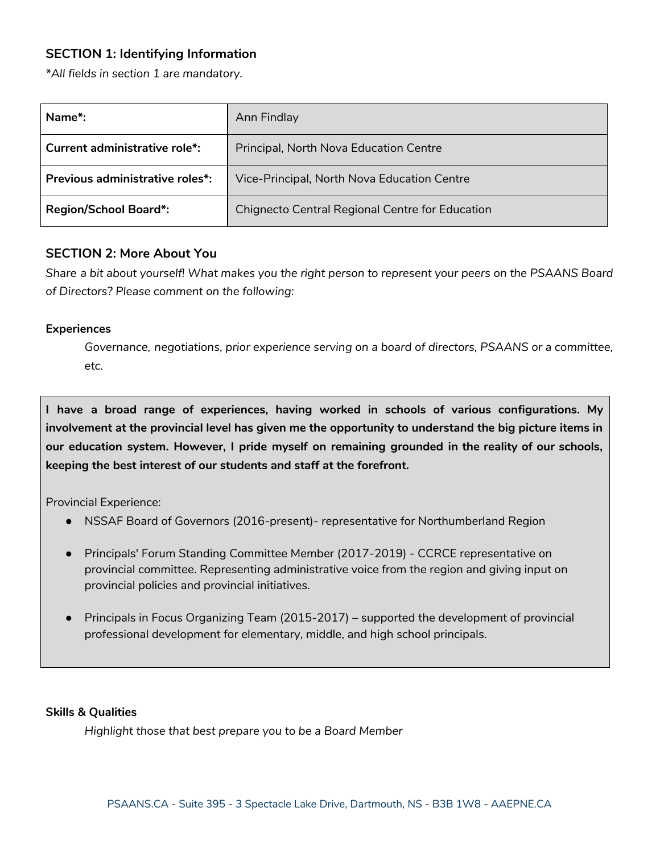# **SECTION 1: Identifying Information**

*\*All fields in section 1 are mandatory.*

| Name*:                          | Ann Findlay                                     |
|---------------------------------|-------------------------------------------------|
| Current administrative role*:   | Principal, North Nova Education Centre          |
| Previous administrative roles*: | Vice-Principal, North Nova Education Centre     |
| <b>Region/School Board*:</b>    | Chignecto Central Regional Centre for Education |

### **SECTION 2: More About You**

Share a bit about yourself! What makes you the right person to represent your peers on the PSAANS Board *of Directors? Please comment on the following:*

#### **Experiences**

*Governance, negotiations, prior experience serving on a board of directors, PSAANS or a committee, etc.*

**I have a broad range of experiences, having worked in schools of various configurations. My involvement at the provincial level has given me the opportunity to understand the big picture items in our education system. However, I pride myself on remaining grounded in the reality of our schools, keeping the best interest of our students and staff at the forefront.**

Provincial Experience:

- NSSAF Board of Governors (2016-present)- representative for Northumberland Region
- Principals' Forum Standing Committee Member (2017-2019) CCRCE representative on provincial committee. Representing administrative voice from the region and giving input on provincial policies and provincial initiatives.
- Principals in Focus Organizing Team (2015-2017) supported the development of provincial professional development for elementary, middle, and high school principals.

#### **Skills & Qualities**

*Highlight those that best prepare you to be a Board Member*